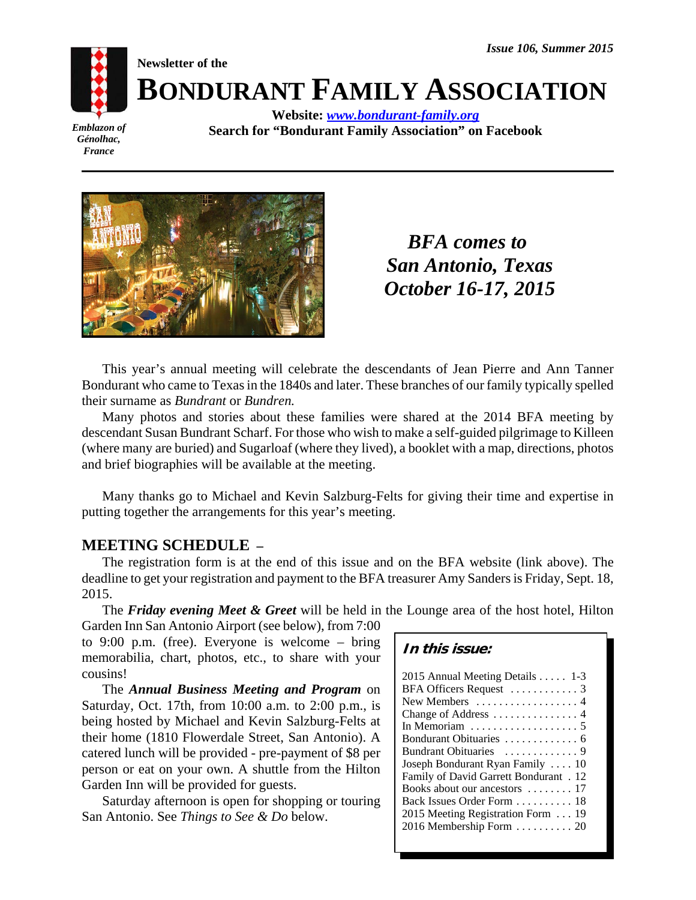

**BONDURANT FAMILY ASSOCIATION**

*Emblazon of Génolhac, France*

**Website:** *www.bondurant-family.org* **Search for "Bondurant Family Association" on Facebook**



**Newsletter of the**

*BFA comes to San Antonio, Texas October 16-17, 2015*

This year's annual meeting will celebrate the descendants of Jean Pierre and Ann Tanner Bondurant who came to Texas in the 1840s and later. These branches of our family typically spelled their surname as *Bundrant* or *Bundren.*

Many photos and stories about these families were shared at the 2014 BFA meeting by descendant Susan Bundrant Scharf. For those who wish to make a self-guided pilgrimage to Killeen (where many are buried) and Sugarloaf (where they lived), a booklet with a map, directions, photos and brief biographies will be available at the meeting.

Many thanks go to Michael and Kevin Salzburg-Felts for giving their time and expertise in putting together the arrangements for this year's meeting.

## **MEETING SCHEDULE –**

The registration form is at the end of this issue and on the BFA website (link above). The deadline to get your registration and payment to the BFA treasurer Amy Sanders is Friday, Sept. 18, 2015.

The *Friday evening Meet & Greet* will be held in the Lounge area of the host hotel, Hilton

Garden Inn San Antonio Airport (see below), from 7:00 to 9:00 p.m. (free). Everyone is welcome – bring memorabilia, chart, photos, etc., to share with your cousins!

The *Annual Business Meeting and Program* on Saturday, Oct. 17th, from 10:00 a.m. to 2:00 p.m., is being hosted by Michael and Kevin Salzburg-Felts at their home (1810 Flowerdale Street, San Antonio). A catered lunch will be provided - pre-payment of \$8 per person or eat on your own. A shuttle from the Hilton Garden Inn will be provided for guests.

Saturday afternoon is open for shopping or touring San Antonio. See *Things to See & Do* below.

| 2015 Annual Meeting Details 1-3                    |
|----------------------------------------------------|
| BFA Officers Request  3                            |
| New Members  4                                     |
| Change of Address  4                               |
| In Memoriam $\ldots \ldots \ldots \ldots \ldots 5$ |
| Bondurant Obituaries  6                            |
| Bundrant Obituaries  9                             |
| Joseph Bondurant Ryan Family  10                   |
| Family of David Garrett Bondurant . 12             |
| Books about our ancestors  17                      |
| Back Issues Order Form  18                         |
| 2015 Meeting Registration Form 19                  |
| 2016 Membership Form $\ldots \ldots \ldots$ 20     |
|                                                    |

**In this issue:**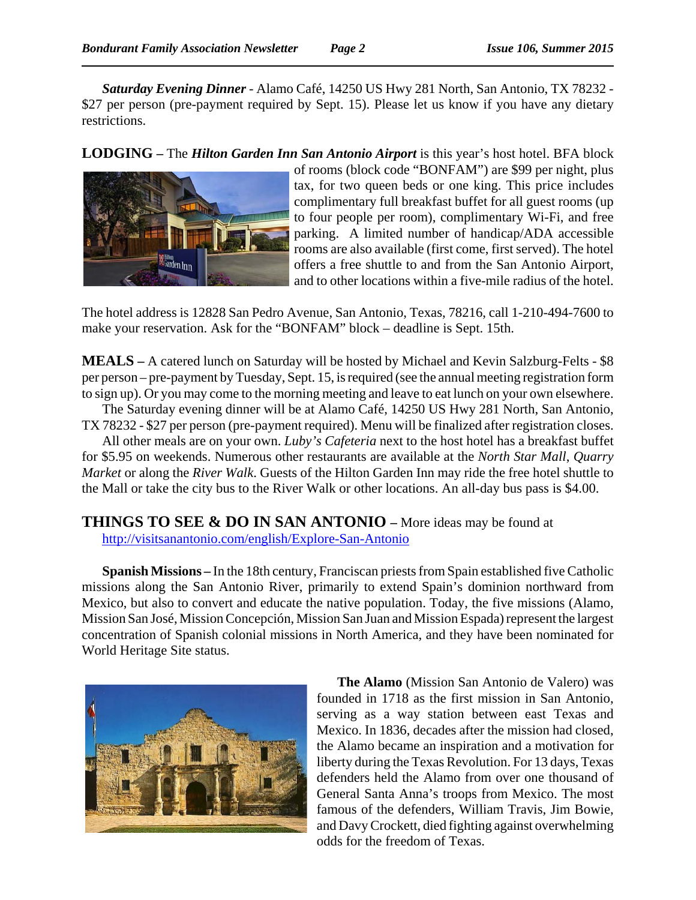*Saturday Evening Dinner* - Alamo Café, 14250 US Hwy 281 North, San Antonio, TX 78232 - \$27 per person (pre-payment required by Sept. 15). Please let us know if you have any dietary restrictions.

**LODGING –** The *Hilton Garden Inn San Antonio Airport* is this year's host hotel. BFA block



of rooms (block code "BONFAM") are \$99 per night, plus tax, for two queen beds or one king. This price includes complimentary full breakfast buffet for all guest rooms (up to four people per room), complimentary Wi-Fi, and free parking. A limited number of handicap/ADA accessible rooms are also available (first come, first served). The hotel offers a free shuttle to and from the San Antonio Airport, and to other locations within a five-mile radius of the hotel.

The hotel address is 12828 San Pedro Avenue, San Antonio, Texas, 78216, call 1-210-494-7600 to make your reservation. Ask for the "BONFAM" block – deadline is Sept. 15th.

**MEALS –** A catered lunch on Saturday will be hosted by Michael and Kevin Salzburg-Felts - \$8 per person – pre-payment by Tuesday, Sept. 15, is required (see the annual meeting registration form to sign up). Or you may come to the morning meeting and leave to eat lunch on your own elsewhere.

The Saturday evening dinner will be at Alamo Café, 14250 US Hwy 281 North, San Antonio, TX 78232 - \$27 per person (pre-payment required). Menu will be finalized after registration closes.

All other meals are on your own. *Luby's Cafeteria* next to the host hotel has a breakfast buffet for \$5.95 on weekends. Numerous other restaurants are available at the *North Star Mall*, *Quarry Market* or along the *River Walk*. Guests of the Hilton Garden Inn may ride the free hotel shuttle to the Mall or take the city bus to the River Walk or other locations. An all-day bus pass is \$4.00.

**THINGS TO SEE & DO IN SAN ANTONIO –** More ideas may be found at http://visitsanantonio.com/english/Explore-San-Antonio

**Spanish Missions –** In the 18th century, Franciscan priests from Spain established five Catholic missions along the San Antonio River, primarily to extend Spain's dominion northward from Mexico, but also to convert and educate the native population. Today, the five missions (Alamo, Mission San José, Mission Concepción, Mission San Juan and Mission Espada) represent the largest concentration of Spanish colonial missions in North America, and they have been nominated for World Heritage Site status.



**The Alamo** (Mission San Antonio de Valero) was founded in 1718 as the first mission in San Antonio, serving as a way station between east Texas and Mexico. In 1836, decades after the mission had closed, the Alamo became an inspiration and a motivation for liberty during the Texas Revolution. For 13 days, Texas defenders held the Alamo from over one thousand of General Santa Anna's troops from Mexico. The most famous of the defenders, William Travis, Jim Bowie, and Davy Crockett, died fighting against overwhelming odds for the freedom of Texas.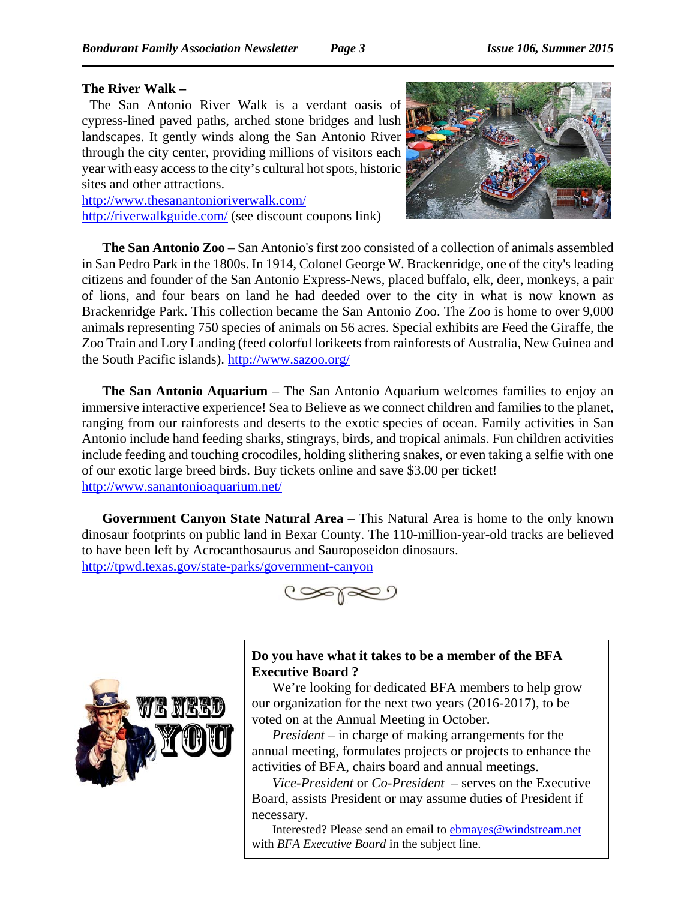#### **The River Walk –**

The San Antonio River Walk is a verdant oasis of cypress-lined paved paths, arched stone bridges and lush landscapes. It gently winds along the San Antonio River through the city center, providing millions of visitors each year with easy access to the city's cultural hot spots, historic sites and other attractions.

http://www.thesanantonioriverwalk.com/ http://riverwalkguide.com/ (see discount coupons link)



**The San Antonio Zoo** – San Antonio's first zoo consisted of a collection of animals assembled in San Pedro Park in the 1800s. In 1914, Colonel George W. Brackenridge, one of the city's leading citizens and founder of the San Antonio Express-News, placed buffalo, elk, deer, monkeys, a pair of lions, and four bears on land he had deeded over to the city in what is now known as Brackenridge Park. This collection became the San Antonio Zoo. The Zoo is home to over 9,000 animals representing 750 species of animals on 56 acres. Special exhibits are Feed the Giraffe, the Zoo Train and Lory Landing (feed colorful lorikeets from rainforests of Australia, New Guinea and the South Pacific islands). http://www.sazoo.org/

**The San Antonio Aquarium** – The San Antonio Aquarium welcomes families to enjoy an immersive interactive experience! Sea to Believe as we connect children and families to the planet, ranging from our rainforests and deserts to the exotic species of ocean. Family activities in San Antonio include hand feeding sharks, stingrays, birds, and tropical animals. Fun children activities include feeding and touching crocodiles, holding slithering snakes, or even taking a selfie with one of our exotic large breed birds. Buy tickets online and save \$3.00 per ticket! http://www.sanantonioaquarium.net/

**Government Canyon State Natural Area** – This Natural Area is home to the only known dinosaur footprints on public land in Bexar County. The 110-million-year-old tracks are believed to have been left by Acrocanthosaurus and Sauroposeidon dinosaurs. http://tpwd.texas.gov/state-parks/government-canyon





**Do you have what it takes to be a member of the BFA Executive Board ?**

We're looking for dedicated BFA members to help grow our organization for the next two years (2016-2017), to be voted on at the Annual Meeting in October.

*President* – in charge of making arrangements for the annual meeting, formulates projects or projects to enhance the activities of BFA, chairs board and annual meetings.

*Vice-President* or *Co-President* – serves on the Executive Board, assists President or may assume duties of President if necessary.

Interested? Please send an email to ebmayes@windstream.net with *BFA Executive Board* in the subject line.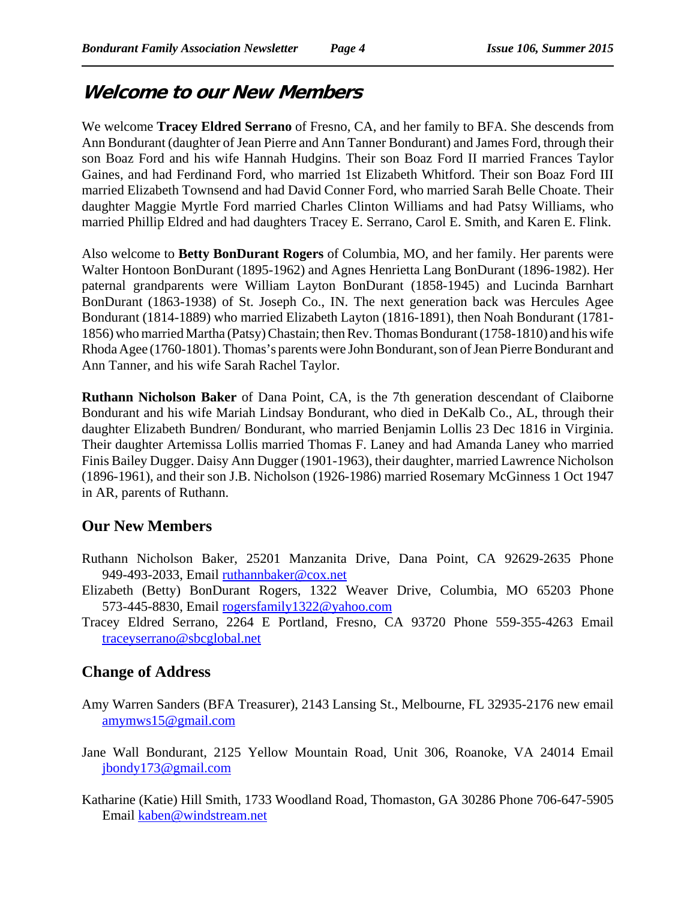# **Welcome to our New Members**

We welcome **Tracey Eldred Serrano** of Fresno, CA, and her family to BFA. She descends from Ann Bondurant (daughter of Jean Pierre and Ann Tanner Bondurant) and James Ford, through their son Boaz Ford and his wife Hannah Hudgins. Their son Boaz Ford II married Frances Taylor Gaines, and had Ferdinand Ford, who married 1st Elizabeth Whitford. Their son Boaz Ford III married Elizabeth Townsend and had David Conner Ford, who married Sarah Belle Choate. Their daughter Maggie Myrtle Ford married Charles Clinton Williams and had Patsy Williams, who married Phillip Eldred and had daughters Tracey E. Serrano, Carol E. Smith, and Karen E. Flink.

Also welcome to **Betty BonDurant Rogers** of Columbia, MO, and her family. Her parents were Walter Hontoon BonDurant (1895-1962) and Agnes Henrietta Lang BonDurant (1896-1982). Her paternal grandparents were William Layton BonDurant (1858-1945) and Lucinda Barnhart BonDurant (1863-1938) of St. Joseph Co., IN. The next generation back was Hercules Agee Bondurant (1814-1889) who married Elizabeth Layton (1816-1891), then Noah Bondurant (1781- 1856) who married Martha (Patsy) Chastain; then Rev. Thomas Bondurant (1758-1810) and his wife Rhoda Agee (1760-1801). Thomas's parents were John Bondurant, son of Jean Pierre Bondurant and Ann Tanner, and his wife Sarah Rachel Taylor.

**Ruthann Nicholson Baker** of Dana Point, CA, is the 7th generation descendant of Claiborne Bondurant and his wife Mariah Lindsay Bondurant, who died in DeKalb Co., AL, through their daughter Elizabeth Bundren/ Bondurant, who married Benjamin Lollis 23 Dec 1816 in Virginia. Their daughter Artemissa Lollis married Thomas F. Laney and had Amanda Laney who married Finis Bailey Dugger. Daisy Ann Dugger (1901-1963), their daughter, married Lawrence Nicholson (1896-1961), and their son J.B. Nicholson (1926-1986) married Rosemary McGinness 1 Oct 1947 in AR, parents of Ruthann.

## **Our New Members**

- Ruthann Nicholson Baker, 25201 Manzanita Drive, Dana Point, CA 92629-2635 Phone 949-493-2033, Email ruthannbaker@cox.net
- Elizabeth (Betty) BonDurant Rogers, 1322 Weaver Drive, Columbia, MO 65203 Phone 573-445-8830, Email rogersfamily1322@yahoo.com
- Tracey Eldred Serrano, 2264 E Portland, Fresno, CA 93720 Phone 559-355-4263 Email traceyserrano@sbcglobal.net

## **Change of Address**

- Amy Warren Sanders (BFA Treasurer), 2143 Lansing St., Melbourne, FL 32935-2176 new email amymws15@gmail.com
- Jane Wall Bondurant, 2125 Yellow Mountain Road, Unit 306, Roanoke, VA 24014 Email jbondy173@gmail.com
- Katharine (Katie) Hill Smith, 1733 Woodland Road, Thomaston, GA 30286 Phone 706-647-5905 Email kaben@windstream.net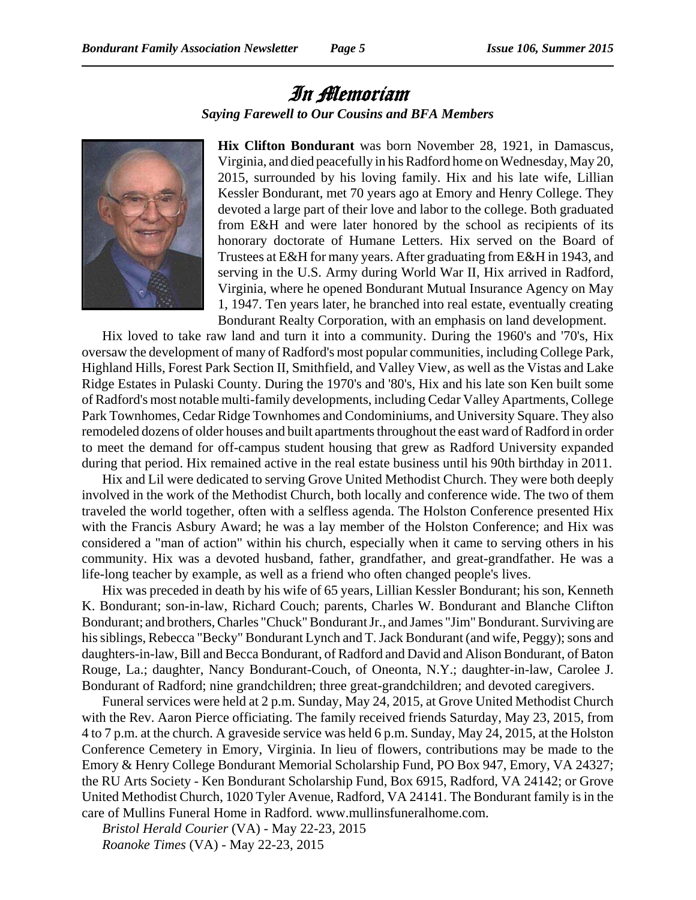# In Memoriam *Saying Farewell to Our Cousins and BFA Members*



**Hix Clifton Bondurant** was born November 28, 1921, in Damascus, Virginia, and died peacefully in his Radford home on Wednesday, May 20, 2015, surrounded by his loving family. Hix and his late wife, Lillian Kessler Bondurant, met 70 years ago at Emory and Henry College. They devoted a large part of their love and labor to the college. Both graduated from E&H and were later honored by the school as recipients of its honorary doctorate of Humane Letters. Hix served on the Board of Trustees at E&H for many years. After graduating from E&H in 1943, and serving in the U.S. Army during World War II, Hix arrived in Radford, Virginia, where he opened Bondurant Mutual Insurance Agency on May 1, 1947. Ten years later, he branched into real estate, eventually creating Bondurant Realty Corporation, with an emphasis on land development.

Hix loved to take raw land and turn it into a community. During the 1960's and '70's, Hix oversaw the development of many of Radford's most popular communities, including College Park, Highland Hills, Forest Park Section II, Smithfield, and Valley View, as well as the Vistas and Lake Ridge Estates in Pulaski County. During the 1970's and '80's, Hix and his late son Ken built some of Radford's most notable multi-family developments, including Cedar Valley Apartments, College Park Townhomes, Cedar Ridge Townhomes and Condominiums, and University Square. They also remodeled dozens of older houses and built apartments throughout the east ward of Radford in order to meet the demand for off-campus student housing that grew as Radford University expanded during that period. Hix remained active in the real estate business until his 90th birthday in 2011.

Hix and Lil were dedicated to serving Grove United Methodist Church. They were both deeply involved in the work of the Methodist Church, both locally and conference wide. The two of them traveled the world together, often with a selfless agenda. The Holston Conference presented Hix with the Francis Asbury Award; he was a lay member of the Holston Conference; and Hix was considered a "man of action" within his church, especially when it came to serving others in his community. Hix was a devoted husband, father, grandfather, and great-grandfather. He was a life-long teacher by example, as well as a friend who often changed people's lives.

Hix was preceded in death by his wife of 65 years, Lillian Kessler Bondurant; his son, Kenneth K. Bondurant; son-in-law, Richard Couch; parents, Charles W. Bondurant and Blanche Clifton Bondurant; and brothers, Charles "Chuck" Bondurant Jr., and James "Jim" Bondurant. Surviving are his siblings, Rebecca "Becky" Bondurant Lynch and T. Jack Bondurant (and wife, Peggy); sons and daughters-in-law, Bill and Becca Bondurant, of Radford and David and Alison Bondurant, of Baton Rouge, La.; daughter, Nancy Bondurant-Couch, of Oneonta, N.Y.; daughter-in-law, Carolee J. Bondurant of Radford; nine grandchildren; three great-grandchildren; and devoted caregivers.

Funeral services were held at 2 p.m. Sunday, May 24, 2015, at Grove United Methodist Church with the Rev. Aaron Pierce officiating. The family received friends Saturday, May 23, 2015, from 4 to 7 p.m. at the church. A graveside service was held 6 p.m. Sunday, May 24, 2015, at the Holston Conference Cemetery in Emory, Virginia. In lieu of flowers, contributions may be made to the Emory & Henry College Bondurant Memorial Scholarship Fund, PO Box 947, Emory, VA 24327; the RU Arts Society - Ken Bondurant Scholarship Fund, Box 6915, Radford, VA 24142; or Grove United Methodist Church, 1020 Tyler Avenue, Radford, VA 24141. The Bondurant family is in the care of Mullins Funeral Home in Radford. www.mullinsfuneralhome.com.

*Bristol Herald Courier* (VA) - May 22-23, 2015 *Roanoke Times* (VA) - May 22-23, 2015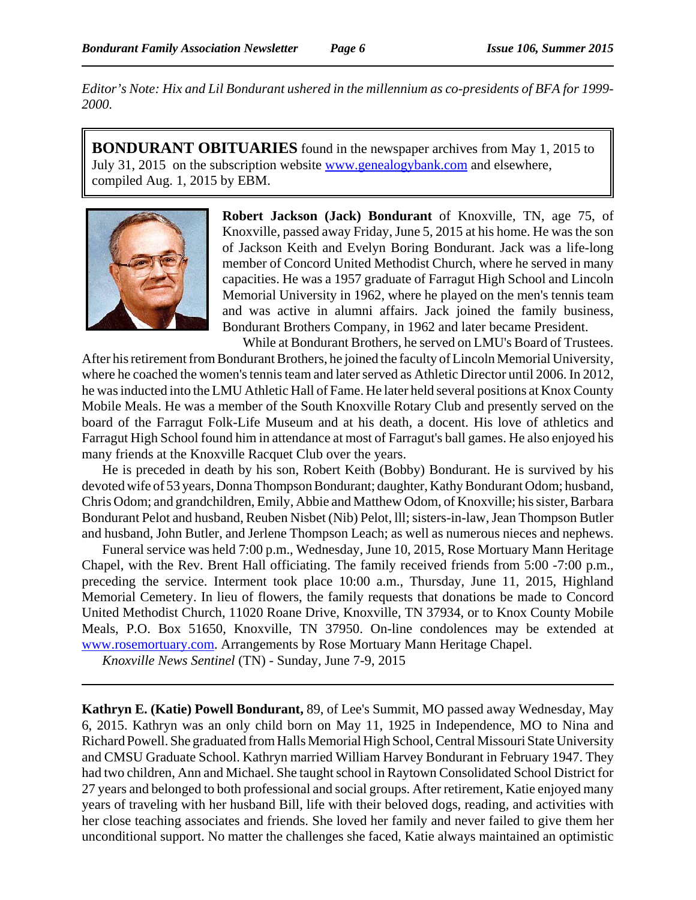*Editor's Note: Hix and Lil Bondurant ushered in the millennium as co-presidents of BFA for 1999- 2000.*

**BONDURANT OBITUARIES** found in the newspaper archives from May 1, 2015 to July 31, 2015 on the subscription website www.genealogybank.com and elsewhere, compiled Aug. 1, 2015 by EBM.



**Robert Jackson (Jack) Bondurant** of Knoxville, TN, age 75, of Knoxville, passed away Friday, June 5, 2015 at his home. He was the son of Jackson Keith and Evelyn Boring Bondurant. Jack was a life-long member of Concord United Methodist Church, where he served in many capacities. He was a 1957 graduate of Farragut High School and Lincoln Memorial University in 1962, where he played on the men's tennis team and was active in alumni affairs. Jack joined the family business, Bondurant Brothers Company, in 1962 and later became President.

While at Bondurant Brothers, he served on LMU's Board of Trustees. After his retirement from Bondurant Brothers, he joined the faculty of Lincoln Memorial University, where he coached the women's tennis team and later served as Athletic Director until 2006. In 2012, he was inducted into the LMU Athletic Hall of Fame. He later held several positions at Knox County Mobile Meals. He was a member of the South Knoxville Rotary Club and presently served on the board of the Farragut Folk-Life Museum and at his death, a docent. His love of athletics and Farragut High School found him in attendance at most of Farragut's ball games. He also enjoyed his many friends at the Knoxville Racquet Club over the years.

He is preceded in death by his son, Robert Keith (Bobby) Bondurant. He is survived by his devoted wife of 53 years, Donna Thompson Bondurant; daughter, Kathy Bondurant Odom; husband, Chris Odom; and grandchildren, Emily, Abbie and Matthew Odom, of Knoxville; his sister, Barbara Bondurant Pelot and husband, Reuben Nisbet (Nib) Pelot, lll; sisters-in-law, Jean Thompson Butler and husband, John Butler, and Jerlene Thompson Leach; as well as numerous nieces and nephews.

Funeral service was held 7:00 p.m., Wednesday, June 10, 2015, Rose Mortuary Mann Heritage Chapel, with the Rev. Brent Hall officiating. The family received friends from 5:00 -7:00 p.m., preceding the service. Interment took place 10:00 a.m., Thursday, June 11, 2015, Highland Memorial Cemetery. In lieu of flowers, the family requests that donations be made to Concord United Methodist Church, 11020 Roane Drive, Knoxville, TN 37934, or to Knox County Mobile Meals, P.O. Box 51650, Knoxville, TN 37950. On-line condolences may be extended at www.rosemortuary.com. Arrangements by Rose Mortuary Mann Heritage Chapel.

*Knoxville News Sentinel* (TN) - Sunday, June 7-9, 2015

**Kathryn E. (Katie) Powell Bondurant,** 89, of Lee's Summit, MO passed away Wednesday, May 6, 2015. Kathryn was an only child born on May 11, 1925 in Independence, MO to Nina and Richard Powell. She graduated from Halls Memorial High School, Central Missouri State University and CMSU Graduate School. Kathryn married William Harvey Bondurant in February 1947. They had two children, Ann and Michael. She taught school in Raytown Consolidated School District for 27 years and belonged to both professional and social groups. After retirement, Katie enjoyed many years of traveling with her husband Bill, life with their beloved dogs, reading, and activities with her close teaching associates and friends. She loved her family and never failed to give them her unconditional support. No matter the challenges she faced, Katie always maintained an optimistic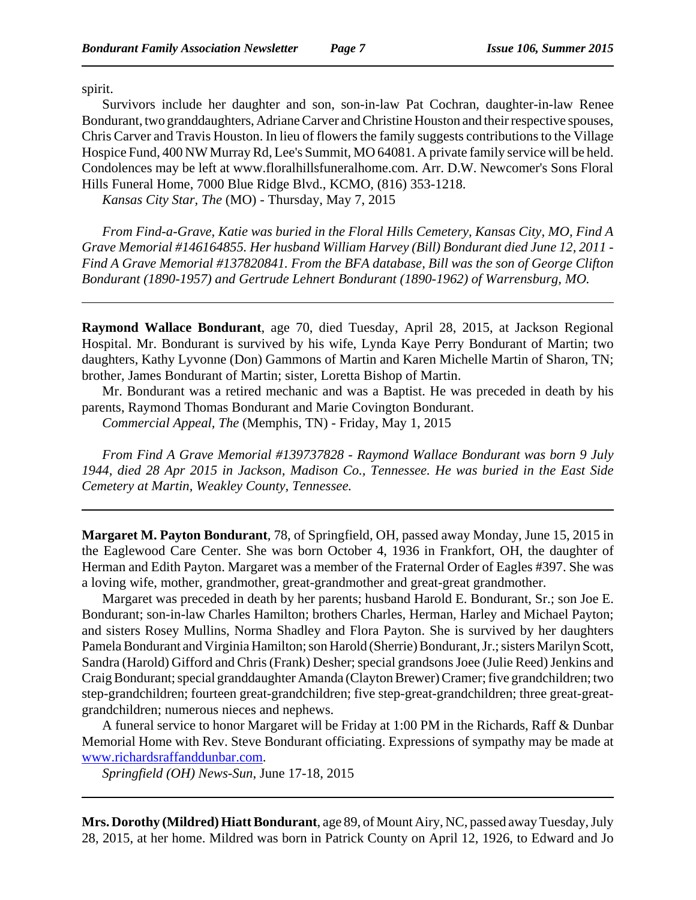spirit.

Survivors include her daughter and son, son-in-law Pat Cochran, daughter-in-law Renee Bondurant, two granddaughters, Adriane Carver and Christine Houston and their respective spouses, Chris Carver and Travis Houston. In lieu of flowers the family suggests contributions to the Village Hospice Fund, 400 NW Murray Rd, Lee's Summit, MO 64081. A private family service will be held. Condolences may be left at www.floralhillsfuneralhome.com. Arr. D.W. Newcomer's Sons Floral Hills Funeral Home, 7000 Blue Ridge Blvd., KCMO, (816) 353-1218.

*Kansas City Star, The* (MO) - Thursday, May 7, 2015

*From Find-a-Grave, Katie was buried in the Floral Hills Cemetery, Kansas City, MO, Find A Grave Memorial #146164855. Her husband William Harvey (Bill) Bondurant died June 12, 2011 - Find A Grave Memorial #137820841. From the BFA database, Bill was the son of George Clifton Bondurant (1890-1957) and Gertrude Lehnert Bondurant (1890-1962) of Warrensburg, MO.*

**Raymond Wallace Bondurant**, age 70, died Tuesday, April 28, 2015, at Jackson Regional Hospital. Mr. Bondurant is survived by his wife, Lynda Kaye Perry Bondurant of Martin; two daughters, Kathy Lyvonne (Don) Gammons of Martin and Karen Michelle Martin of Sharon, TN; brother, James Bondurant of Martin; sister, Loretta Bishop of Martin.

Mr. Bondurant was a retired mechanic and was a Baptist. He was preceded in death by his parents, Raymond Thomas Bondurant and Marie Covington Bondurant.

*Commercial Appeal, The* (Memphis, TN) - Friday, May 1, 2015

*From Find A Grave Memorial #139737828 - Raymond Wallace Bondurant was born 9 July 1944, died 28 Apr 2015 in Jackson, Madison Co., Tennessee. He was buried in the East Side Cemetery at Martin, Weakley County, Tennessee.* 

**Margaret M. Payton Bondurant**, 78, of Springfield, OH, passed away Monday, June 15, 2015 in the Eaglewood Care Center. She was born October 4, 1936 in Frankfort, OH, the daughter of Herman and Edith Payton. Margaret was a member of the Fraternal Order of Eagles #397. She was a loving wife, mother, grandmother, great-grandmother and great-great grandmother.

Margaret was preceded in death by her parents; husband Harold E. Bondurant, Sr.; son Joe E. Bondurant; son-in-law Charles Hamilton; brothers Charles, Herman, Harley and Michael Payton; and sisters Rosey Mullins, Norma Shadley and Flora Payton. She is survived by her daughters Pamela Bondurant and Virginia Hamilton; son Harold (Sherrie) Bondurant, Jr.; sisters Marilyn Scott, Sandra (Harold) Gifford and Chris (Frank) Desher; special grandsons Joee (Julie Reed) Jenkins and Craig Bondurant; special granddaughter Amanda (Clayton Brewer) Cramer; five grandchildren; two step-grandchildren; fourteen great-grandchildren; five step-great-grandchildren; three great-greatgrandchildren; numerous nieces and nephews.

A funeral service to honor Margaret will be Friday at 1:00 PM in the Richards, Raff & Dunbar Memorial Home with Rev. Steve Bondurant officiating. Expressions of sympathy may be made at www.richardsraffanddunbar.com.

*Springfield (OH) News-Sun*, June 17-18, 2015

**Mrs. Dorothy (Mildred) Hiatt Bondurant**, age 89, of Mount Airy, NC, passed away Tuesday, July 28, 2015, at her home. Mildred was born in Patrick County on April 12, 1926, to Edward and Jo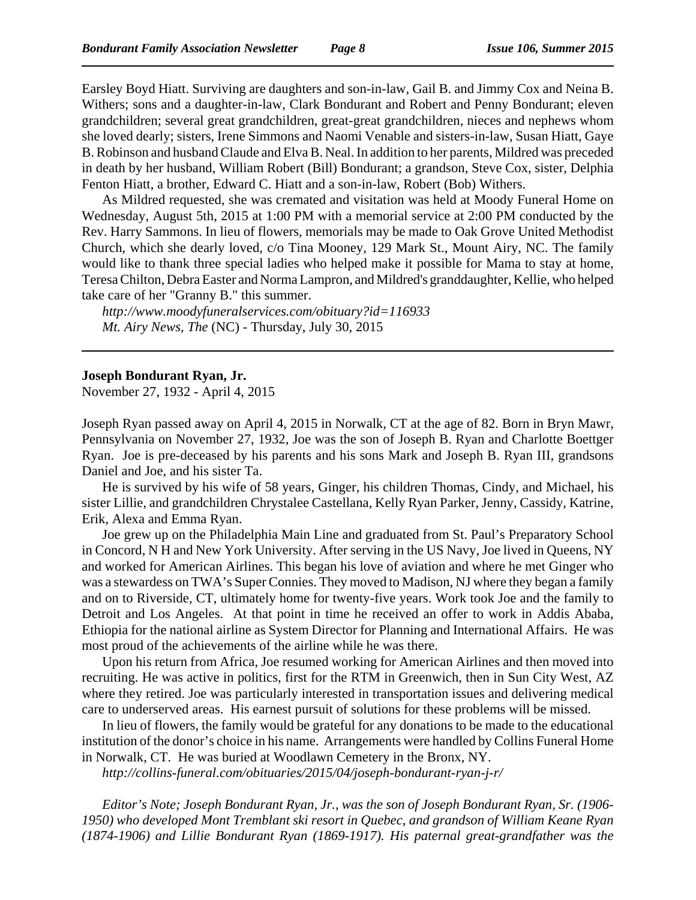Earsley Boyd Hiatt. Surviving are daughters and son-in-law, Gail B. and Jimmy Cox and Neina B. Withers; sons and a daughter-in-law, Clark Bondurant and Robert and Penny Bondurant; eleven grandchildren; several great grandchildren, great-great grandchildren, nieces and nephews whom she loved dearly; sisters, Irene Simmons and Naomi Venable and sisters-in-law, Susan Hiatt, Gaye B. Robinson and husband Claude and Elva B. Neal. In addition to her parents, Mildred was preceded in death by her husband, William Robert (Bill) Bondurant; a grandson, Steve Cox, sister, Delphia Fenton Hiatt, a brother, Edward C. Hiatt and a son-in-law, Robert (Bob) Withers.

As Mildred requested, she was cremated and visitation was held at Moody Funeral Home on Wednesday, August 5th, 2015 at 1:00 PM with a memorial service at 2:00 PM conducted by the Rev. Harry Sammons. In lieu of flowers, memorials may be made to Oak Grove United Methodist Church, which she dearly loved, c/o Tina Mooney, 129 Mark St., Mount Airy, NC. The family would like to thank three special ladies who helped make it possible for Mama to stay at home, Teresa Chilton, Debra Easter and Norma Lampron, and Mildred's granddaughter, Kellie, who helped take care of her "Granny B." this summer.

*http://www.moodyfuneralservices.com/obituary?id=116933 Mt. Airy News, The* (NC) - Thursday, July 30, 2015

#### **Joseph Bondurant Ryan, Jr.**

November 27, 1932 - April 4, 2015

Joseph Ryan passed away on April 4, 2015 in Norwalk, CT at the age of 82. Born in Bryn Mawr, Pennsylvania on November 27, 1932, Joe was the son of Joseph B. Ryan and Charlotte Boettger Ryan. Joe is pre-deceased by his parents and his sons Mark and Joseph B. Ryan III, grandsons Daniel and Joe, and his sister Ta.

He is survived by his wife of 58 years, Ginger, his children Thomas, Cindy, and Michael, his sister Lillie, and grandchildren Chrystalee Castellana, Kelly Ryan Parker, Jenny, Cassidy, Katrine, Erik, Alexa and Emma Ryan.

Joe grew up on the Philadelphia Main Line and graduated from St. Paul's Preparatory School in Concord, N H and New York University. After serving in the US Navy, Joe lived in Queens, NY and worked for American Airlines. This began his love of aviation and where he met Ginger who was a stewardess on TWA's Super Connies. They moved to Madison, NJ where they began a family and on to Riverside, CT, ultimately home for twenty-five years. Work took Joe and the family to Detroit and Los Angeles. At that point in time he received an offer to work in Addis Ababa, Ethiopia for the national airline as System Director for Planning and International Affairs. He was most proud of the achievements of the airline while he was there.

Upon his return from Africa, Joe resumed working for American Airlines and then moved into recruiting. He was active in politics, first for the RTM in Greenwich, then in Sun City West, AZ where they retired. Joe was particularly interested in transportation issues and delivering medical care to underserved areas. His earnest pursuit of solutions for these problems will be missed.

In lieu of flowers, the family would be grateful for any donations to be made to the educational institution of the donor's choice in his name. Arrangements were handled by Collins Funeral Home in Norwalk, CT. He was buried at Woodlawn Cemetery in the Bronx, NY.

*http://collins-funeral.com/obituaries/2015/04/joseph-bondurant-ryan-j-r/*

*Editor's Note; Joseph Bondurant Ryan, Jr., was the son of Joseph Bondurant Ryan, Sr. (1906- 1950) who developed Mont Tremblant ski resort in Quebec, and grandson of William Keane Ryan (1874-1906) and Lillie Bondurant Ryan (1869-1917). His paternal great-grandfather was the*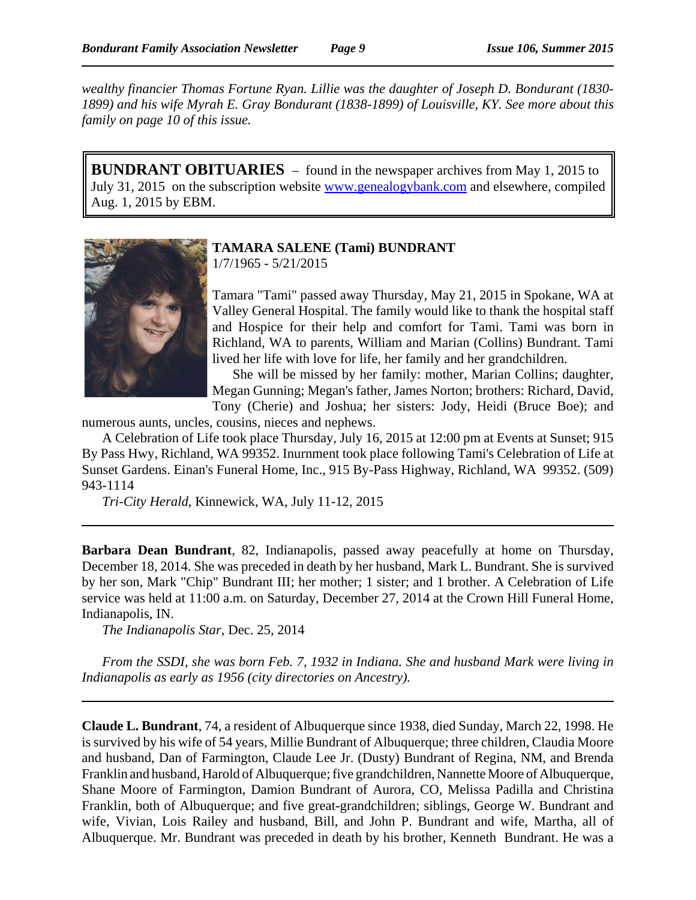*wealthy financier Thomas Fortune Ryan. Lillie was the daughter of Joseph D. Bondurant (1830- 1899) and his wife Myrah E. Gray Bondurant (1838-1899) of Louisville, KY. See more about this family on page 10 of this issue.*

**BUNDRANT OBITUARIES** – found in the newspaper archives from May 1, 2015 to July 31, 2015 on the subscription website www.genealogybank.com and elsewhere, compiled Aug. 1, 2015 by EBM.



#### **TAMARA SALENE (Tami) BUNDRANT** 1/7/1965 - 5/21/2015

Tamara "Tami" passed away Thursday, May 21, 2015 in Spokane, WA at Valley General Hospital. The family would like to thank the hospital staff and Hospice for their help and comfort for Tami. Tami was born in Richland, WA to parents, William and Marian (Collins) Bundrant. Tami lived her life with love for life, her family and her grandchildren.

She will be missed by her family: mother, Marian Collins; daughter, Megan Gunning; Megan's father, James Norton; brothers: Richard, David,

Tony (Cherie) and Joshua; her sisters: Jody, Heidi (Bruce Boe); and numerous aunts, uncles, cousins, nieces and nephews.

A Celebration of Life took place Thursday, July 16, 2015 at 12:00 pm at Events at Sunset; 915 By Pass Hwy, Richland, WA 99352. Inurnment took place following Tami's Celebration of Life at Sunset Gardens. Einan's Funeral Home, Inc., 915 By-Pass Highway, Richland, WA 99352. (509) 943-1114

*Tri-City Herald*, Kinnewick, WA, July 11-12, 2015

**Barbara Dean Bundrant**, 82, Indianapolis, passed away peacefully at home on Thursday, December 18, 2014. She was preceded in death by her husband, Mark L. Bundrant. She is survived by her son, Mark "Chip" Bundrant III; her mother; 1 sister; and 1 brother. A Celebration of Life service was held at 11:00 a.m. on Saturday, December 27, 2014 at the Crown Hill Funeral Home, Indianapolis, IN.

*The Indianapolis Star*, Dec. 25, 2014

*From the SSDI, she was born Feb. 7, 1932 in Indiana. She and husband Mark were living in Indianapolis as early as 1956 (city directories on Ancestry).*

**Claude L. Bundrant**, 74, a resident of Albuquerque since 1938, died Sunday, March 22, 1998. He is survived by his wife of 54 years, Millie Bundrant of Albuquerque; three children, Claudia Moore and husband, Dan of Farmington, Claude Lee Jr. (Dusty) Bundrant of Regina, NM, and Brenda Franklin and husband, Harold of Albuquerque; five grandchildren, Nannette Moore of Albuquerque, Shane Moore of Farmington, Damion Bundrant of Aurora, CO, Melissa Padilla and Christina Franklin, both of Albuquerque; and five great-grandchildren; siblings, George W. Bundrant and wife, Vivian, Lois Railey and husband, Bill, and John P. Bundrant and wife, Martha, all of Albuquerque. Mr. Bundrant was preceded in death by his brother, Kenneth Bundrant. He was a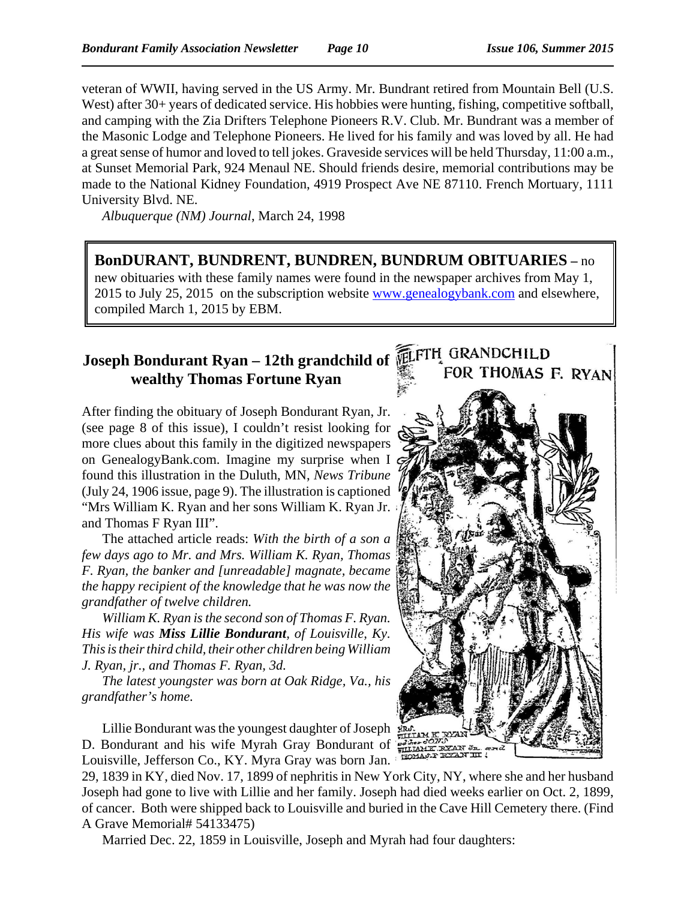veteran of WWII, having served in the US Army. Mr. Bundrant retired from Mountain Bell (U.S. West) after 30+ years of dedicated service. His hobbies were hunting, fishing, competitive softball, and camping with the Zia Drifters Telephone Pioneers R.V. Club. Mr. Bundrant was a member of the Masonic Lodge and Telephone Pioneers. He lived for his family and was loved by all. He had a great sense of humor and loved to tell jokes. Graveside services will be held Thursday, 11:00 a.m., at Sunset Memorial Park, 924 Menaul NE. Should friends desire, memorial contributions may be made to the National Kidney Foundation, 4919 Prospect Ave NE 87110. French Mortuary, 1111 University Blvd. NE.

*Albuquerque (NM) Journal*, March 24, 1998

## **BonDURANT, BUNDRENT, BUNDREN, BUNDRUM OBITUARIES –** no

new obituaries with these family names were found in the newspaper archives from May 1, 2015 to July 25, 2015 on the subscription website www.genealogybank.com and elsewhere, compiled March 1, 2015 by EBM.

# **Joseph Bondurant Ryan – 12th grandchild of wealthy Thomas Fortune Ryan**

After finding the obituary of Joseph Bondurant Ryan, Jr. (see page 8 of this issue), I couldn't resist looking for more clues about this family in the digitized newspapers on GenealogyBank.com. Imagine my surprise when I found this illustration in the Duluth, MN, *News Tribune* (July 24, 1906 issue, page 9). The illustration is captioned "Mrs William K. Ryan and her sons William K. Ryan Jr. and Thomas F Ryan III".

The attached article reads: *With the birth of a son a few days ago to Mr. and Mrs. William K. Ryan, Thomas F. Ryan, the banker and [unreadable] magnate, became the happy recipient of the knowledge that he was now the grandfather of twelve children.*

*William K. Ryan is the second son of Thomas F. Ryan. His wife was Miss Lillie Bondurant, of Louisville, Ky. This is their third child, their other children being William J. Ryan, jr., and Thomas F. Ryan, 3d.*

*The latest youngster was born at Oak Ridge, Va., his grandfather's home.*

Lillie Bondurant was the youngest daughter of Joseph D. Bondurant and his wife Myrah Gray Bondurant of Louisville, Jefferson Co., KY. Myra Gray was born Jan.

29, 1839 in KY, died Nov. 17, 1899 of nephritis in New York City, NY, where she and her husband Joseph had gone to live with Lillie and her family. Joseph had died weeks earlier on Oct. 2, 1899, of cancer. Both were shipped back to Louisville and buried in the Cave Hill Cemetery there. (Find A Grave Memorial# 54133475)

Married Dec. 22, 1859 in Louisville, Joseph and Myrah had four daughters:

# FOR THOMAS F. RYAN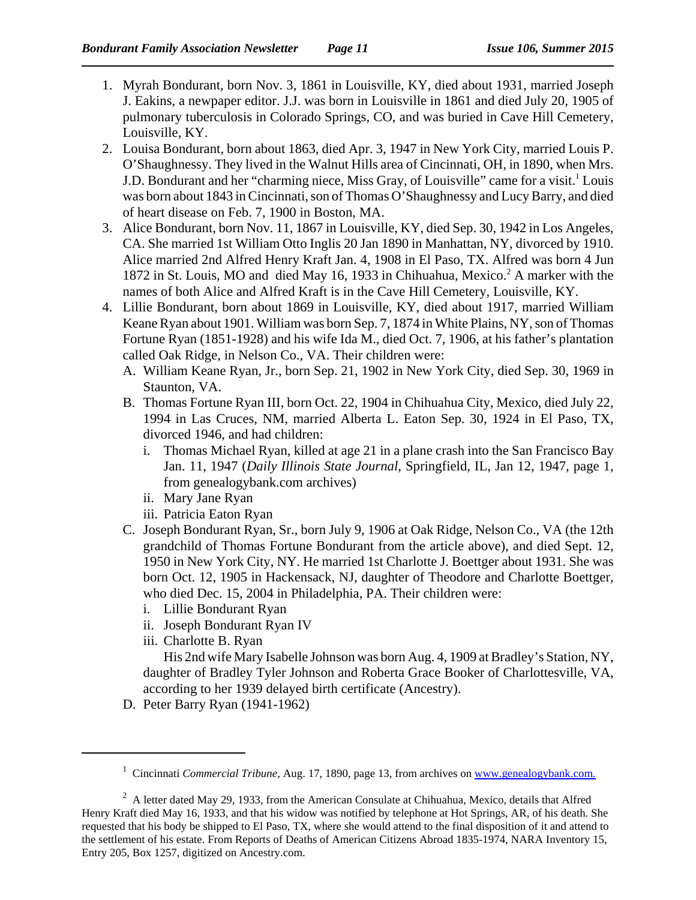- 1. Myrah Bondurant, born Nov. 3, 1861 in Louisville, KY, died about 1931, married Joseph J. Eakins, a newpaper editor. J.J. was born in Louisville in 1861 and died July 20, 1905 of pulmonary tuberculosis in Colorado Springs, CO, and was buried in Cave Hill Cemetery, Louisville, KY.
- 2. Louisa Bondurant, born about 1863, died Apr. 3, 1947 in New York City, married Louis P. O'Shaughnessy. They lived in the Walnut Hills area of Cincinnati, OH, in 1890, when Mrs. J.D. Bondurant and her "charming niece, Miss Gray, of Louisville" came for a visit.<sup>1</sup> Louis was born about 1843 in Cincinnati, son of Thomas O'Shaughnessy and Lucy Barry, and died of heart disease on Feb. 7, 1900 in Boston, MA.
- 3. Alice Bondurant, born Nov. 11, 1867 in Louisville, KY, died Sep. 30, 1942 in Los Angeles, CA. She married 1st William Otto Inglis 20 Jan 1890 in Manhattan, NY, divorced by 1910. Alice married 2nd Alfred Henry Kraft Jan. 4, 1908 in El Paso, TX. Alfred was born 4 Jun 1872 in St. Louis, MO and died May 16, 1933 in Chihuahua, Mexico.<sup>2</sup> A marker with the names of both Alice and Alfred Kraft is in the Cave Hill Cemetery, Louisville, KY.
- 4. Lillie Bondurant, born about 1869 in Louisville, KY, died about 1917, married William Keane Ryan about 1901. William was born Sep. 7, 1874 in White Plains, NY, son of Thomas Fortune Ryan (1851-1928) and his wife Ida M., died Oct. 7, 1906, at his father's plantation called Oak Ridge, in Nelson Co., VA. Their children were:
	- A. William Keane Ryan, Jr., born Sep. 21, 1902 in New York City, died Sep. 30, 1969 in Staunton, VA.
	- B. Thomas Fortune Ryan III, born Oct. 22, 1904 in Chihuahua City, Mexico, died July 22, 1994 in Las Cruces, NM, married Alberta L. Eaton Sep. 30, 1924 in El Paso, TX, divorced 1946, and had children:
		- i. Thomas Michael Ryan, killed at age 21 in a plane crash into the San Francisco Bay Jan. 11, 1947 (*Daily Illinois State Journal*, Springfield, IL, Jan 12, 1947, page 1, from genealogybank.com archives)
		- ii. Mary Jane Ryan
		- iii. Patricia Eaton Ryan
	- C. Joseph Bondurant Ryan, Sr., born July 9, 1906 at Oak Ridge, Nelson Co., VA (the 12th grandchild of Thomas Fortune Bondurant from the article above), and died Sept. 12, 1950 in New York City, NY. He married 1st Charlotte J. Boettger about 1931. She was born Oct. 12, 1905 in Hackensack, NJ, daughter of Theodore and Charlotte Boettger, who died Dec. 15, 2004 in Philadelphia, PA. Their children were:
		- i. Lillie Bondurant Ryan
		- ii. Joseph Bondurant Ryan IV
		- iii. Charlotte B. Ryan

His 2nd wife Mary Isabelle Johnson was born Aug. 4, 1909 at Bradley's Station, NY, daughter of Bradley Tyler Johnson and Roberta Grace Booker of Charlottesville, VA, according to her 1939 delayed birth certificate (Ancestry).

D. Peter Barry Ryan (1941-1962)

<sup>&</sup>lt;sup>1</sup> Cincinnati *Commercial Tribune*, Aug. 17, 1890, page 13, from archives on www.genealogybank.com.

<sup>&</sup>lt;sup>2</sup> A letter dated May 29, 1933, from the American Consulate at Chihuahua, Mexico, details that Alfred Henry Kraft died May 16, 1933, and that his widow was notified by telephone at Hot Springs, AR, of his death. She requested that his body be shipped to El Paso, TX, where she would attend to the final disposition of it and attend to the settlement of his estate. From Reports of Deaths of American Citizens Abroad 1835-1974, NARA Inventory 15, Entry 205, Box 1257, digitized on Ancestry.com.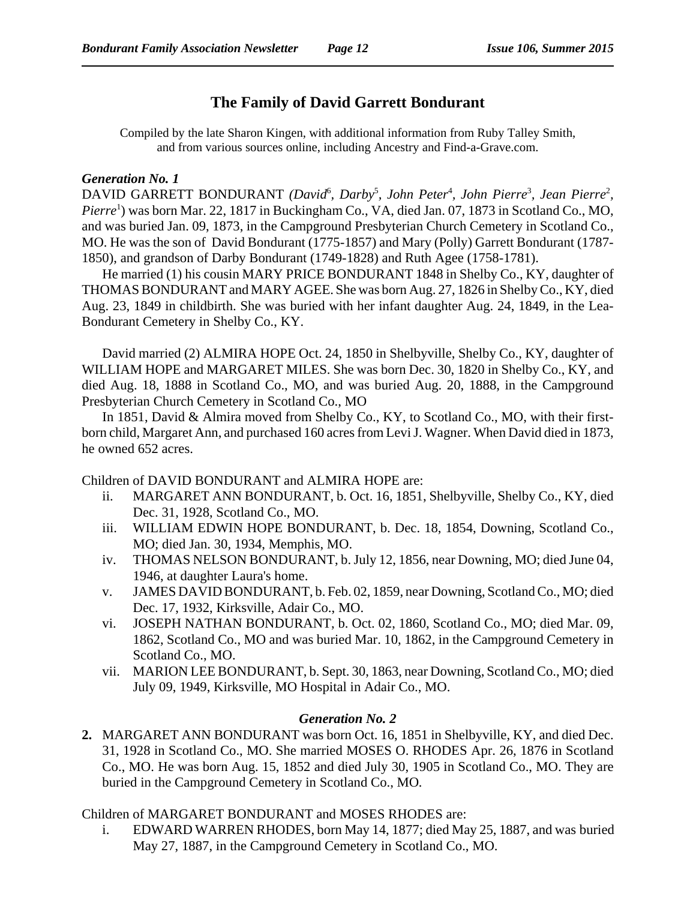# **The Family of David Garrett Bondurant**

Compiled by the late Sharon Kingen, with additional information from Ruby Talley Smith, and from various sources online, including Ancestry and Find-a-Grave.com.

#### *Generation No. 1*

DAVID GARRETT BONDURANT (David<sup>6</sup>, Darby<sup>5</sup>, John Peter<sup>4</sup>, John Pierre<sup>3</sup>, Jean Pierre<sup>2</sup>, Pierre<sup>1</sup>) was born Mar. 22, 1817 in Buckingham Co., VA, died Jan. 07, 1873 in Scotland Co., MO, and was buried Jan. 09, 1873, in the Campground Presbyterian Church Cemetery in Scotland Co., MO. He was the son of David Bondurant (1775-1857) and Mary (Polly) Garrett Bondurant (1787- 1850), and grandson of Darby Bondurant (1749-1828) and Ruth Agee (1758-1781).

He married (1) his cousin MARY PRICE BONDURANT 1848 in Shelby Co., KY, daughter of THOMAS BONDURANT and MARY AGEE. She was born Aug. 27, 1826 in Shelby Co., KY, died Aug. 23, 1849 in childbirth. She was buried with her infant daughter Aug. 24, 1849, in the Lea-Bondurant Cemetery in Shelby Co., KY.

David married (2) ALMIRA HOPE Oct. 24, 1850 in Shelbyville, Shelby Co., KY, daughter of WILLIAM HOPE and MARGARET MILES. She was born Dec. 30, 1820 in Shelby Co., KY, and died Aug. 18, 1888 in Scotland Co., MO, and was buried Aug. 20, 1888, in the Campground Presbyterian Church Cemetery in Scotland Co., MO

In 1851, David & Almira moved from Shelby Co., KY, to Scotland Co., MO, with their firstborn child, Margaret Ann, and purchased 160 acres from Levi J. Wagner. When David died in 1873, he owned 652 acres.

Children of DAVID BONDURANT and ALMIRA HOPE are:

- ii. MARGARET ANN BONDURANT, b. Oct. 16, 1851, Shelbyville, Shelby Co., KY, died Dec. 31, 1928, Scotland Co., MO.
- iii. WILLIAM EDWIN HOPE BONDURANT, b. Dec. 18, 1854, Downing, Scotland Co., MO; died Jan. 30, 1934, Memphis, MO.
- iv. THOMAS NELSON BONDURANT, b. July 12, 1856, near Downing, MO; died June 04, 1946, at daughter Laura's home.
- v. JAMES DAVID BONDURANT, b. Feb. 02, 1859, near Downing, Scotland Co., MO; died Dec. 17, 1932, Kirksville, Adair Co., MO.
- vi. JOSEPH NATHAN BONDURANT, b. Oct. 02, 1860, Scotland Co., MO; died Mar. 09, 1862, Scotland Co., MO and was buried Mar. 10, 1862, in the Campground Cemetery in Scotland Co., MO.
- vii. MARION LEE BONDURANT, b. Sept. 30, 1863, near Downing, Scotland Co., MO; died July 09, 1949, Kirksville, MO Hospital in Adair Co., MO.

### *Generation No. 2*

**2.** MARGARET ANN BONDURANT was born Oct. 16, 1851 in Shelbyville, KY, and died Dec. 31, 1928 in Scotland Co., MO. She married MOSES O. RHODES Apr. 26, 1876 in Scotland Co., MO. He was born Aug. 15, 1852 and died July 30, 1905 in Scotland Co., MO. They are buried in the Campground Cemetery in Scotland Co., MO*.*

Children of MARGARET BONDURANT and MOSES RHODES are:

i. EDWARD WARREN RHODES, born May 14, 1877; died May 25, 1887, and was buried May 27, 1887, in the Campground Cemetery in Scotland Co., MO.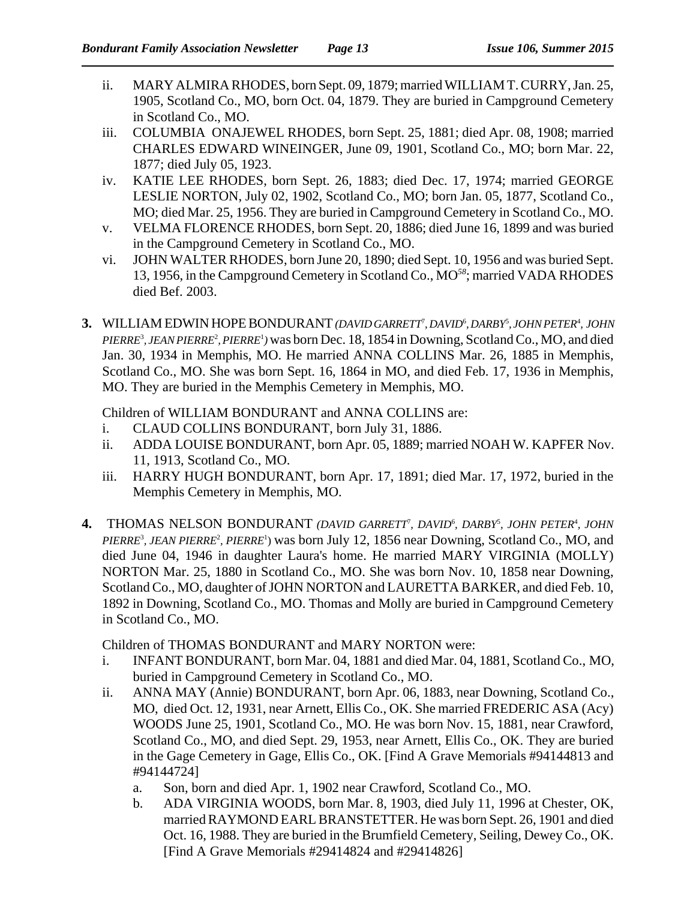- ii. MARY ALMIRA RHODES, born Sept. 09, 1879; married WILLIAM T. CURRY, Jan. 25, 1905, Scotland Co., MO, born Oct. 04, 1879. They are buried in Campground Cemetery in Scotland Co., MO.
- iii. COLUMBIA ONAJEWEL RHODES, born Sept. 25, 1881; died Apr. 08, 1908; married CHARLES EDWARD WINEINGER, June 09, 1901, Scotland Co., MO; born Mar. 22, 1877; died July 05, 1923.
- iv. KATIE LEE RHODES, born Sept. 26, 1883; died Dec. 17, 1974; married GEORGE LESLIE NORTON, July 02, 1902, Scotland Co., MO; born Jan. 05, 1877, Scotland Co., MO; died Mar. 25, 1956. They are buried in Campground Cemetery in Scotland Co., MO.
- v. VELMA FLORENCE RHODES, born Sept. 20, 1886; died June 16, 1899 and was buried in the Campground Cemetery in Scotland Co., MO.
- vi. JOHN WALTER RHODES, born June 20, 1890; died Sept. 10, 1956 and was buried Sept. 13, 1956, in the Campground Cemetery in Scotland Co., MO*<sup>58</sup>*; married VADA RHODES died Bef. 2003.
- 3. WILLIAM EDWIN HOPE BONDURANT *(DAVID GARRETT<sup>?</sup>, DAVID<sup>6</sup>, DARBY<sup>5</sup>, JOHN PETER<sup>4</sup>, JOHN* PIERRE<sup>3</sup>, JEAN PIERRE<sup>2</sup>, PIERRE<sup>1</sup>) was born Dec. 18, 1854 in Downing, Scotland Co., MO, and died Jan. 30, 1934 in Memphis, MO. He married ANNA COLLINS Mar. 26, 1885 in Memphis, Scotland Co., MO. She was born Sept. 16, 1864 in MO, and died Feb. 17, 1936 in Memphis, MO. They are buried in the Memphis Cemetery in Memphis, MO.

Children of WILLIAM BONDURANT and ANNA COLLINS are:

- i. CLAUD COLLINS BONDURANT, born July 31, 1886.
- ii. ADDA LOUISE BONDURANT, born Apr. 05, 1889; married NOAH W. KAPFER Nov. 11, 1913, Scotland Co., MO.
- iii. HARRY HUGH BONDURANT, born Apr. 17, 1891; died Mar. 17, 1972, buried in the Memphis Cemetery in Memphis, MO.
- 4. THOMAS NELSON BONDURANT (DAVID GARRETT<sup>7</sup>, DAVID<sup>6</sup>, DARBY<sup>5</sup>, JOHN PETER<sup>4</sup>, JOHN PIERRE<sup>3</sup>, JEAN PIERRE<sup>2</sup>, PIERRE<sup>1</sup>) was born July 12, 1856 near Downing, Scotland Co., MO, and died June 04, 1946 in daughter Laura's home. He married MARY VIRGINIA (MOLLY) NORTON Mar. 25, 1880 in Scotland Co., MO. She was born Nov. 10, 1858 near Downing, Scotland Co., MO, daughter of JOHN NORTON and LAURETTA BARKER, and died Feb. 10, 1892 in Downing, Scotland Co., MO. Thomas and Molly are buried in Campground Cemetery in Scotland Co., MO.

Children of THOMAS BONDURANT and MARY NORTON were:

- i. INFANT BONDURANT, born Mar. 04, 1881 and died Mar. 04, 1881, Scotland Co., MO, buried in Campground Cemetery in Scotland Co., MO.
- ii. ANNA MAY (Annie) BONDURANT, born Apr. 06, 1883, near Downing, Scotland Co., MO, died Oct. 12, 1931, near Arnett, Ellis Co., OK. She married FREDERIC ASA (Acy) WOODS June 25, 1901, Scotland Co., MO. He was born Nov. 15, 1881, near Crawford, Scotland Co., MO, and died Sept. 29, 1953, near Arnett, Ellis Co., OK. They are buried in the Gage Cemetery in Gage, Ellis Co., OK. [Find A Grave Memorials #94144813 and #94144724]
	- a. Son, born and died Apr. 1, 1902 near Crawford, Scotland Co., MO.
	- b. ADA VIRGINIA WOODS, born Mar. 8, 1903, died July 11, 1996 at Chester, OK, married RAYMOND EARL BRANSTETTER. He was born Sept. 26, 1901 and died Oct. 16, 1988. They are buried in the Brumfield Cemetery, Seiling, Dewey Co., OK. [Find A Grave Memorials #29414824 and #29414826]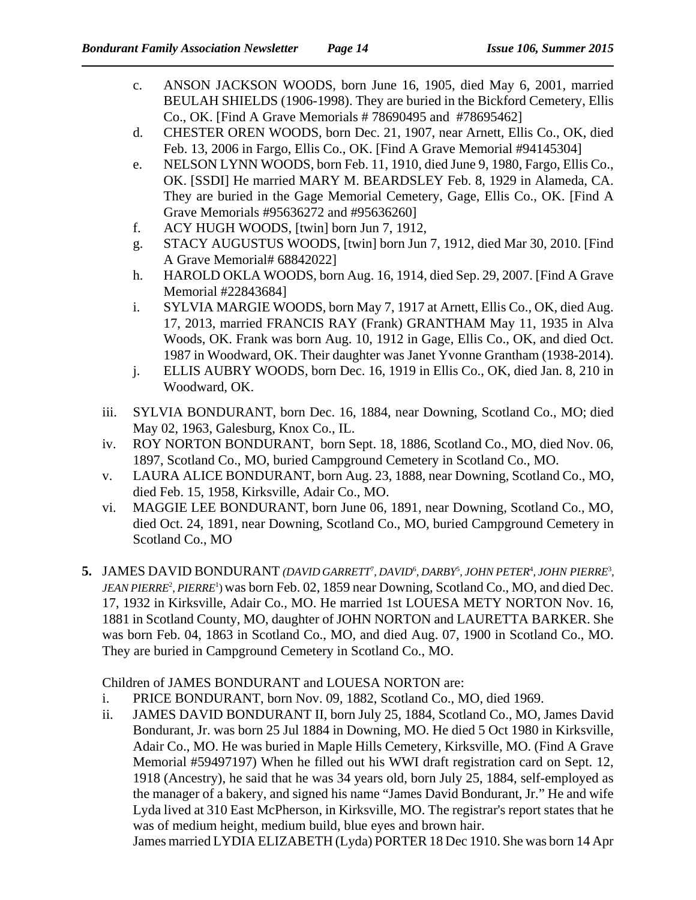- c. ANSON JACKSON WOODS, born June 16, 1905, died May 6, 2001, married BEULAH SHIELDS (1906-1998). They are buried in the Bickford Cemetery, Ellis Co., OK. [Find A Grave Memorials # 78690495 and #78695462]
- d. CHESTER OREN WOODS, born Dec. 21, 1907, near Arnett, Ellis Co., OK, died Feb. 13, 2006 in Fargo, Ellis Co., OK. [Find A Grave Memorial #94145304]
- e. NELSON LYNN WOODS, born Feb. 11, 1910, died June 9, 1980, Fargo, Ellis Co., OK. [SSDI] He married MARY M. BEARDSLEY Feb. 8, 1929 in Alameda, CA. They are buried in the Gage Memorial Cemetery, Gage, Ellis Co., OK. [Find A Grave Memorials #95636272 and #95636260]
- f. ACY HUGH WOODS, [twin] born Jun 7, 1912,
- g. STACY AUGUSTUS WOODS, [twin] born Jun 7, 1912, died Mar 30, 2010. [Find A Grave Memorial# 68842022]
- h. HAROLD OKLA WOODS, born Aug. 16, 1914, died Sep. 29, 2007. [Find A Grave Memorial #22843684]
- i. SYLVIA MARGIE WOODS, born May 7, 1917 at Arnett, Ellis Co., OK, died Aug. 17, 2013, married FRANCIS RAY (Frank) GRANTHAM May 11, 1935 in Alva Woods, OK. Frank was born Aug. 10, 1912 in Gage, Ellis Co., OK, and died Oct. 1987 in Woodward, OK. Their daughter was Janet Yvonne Grantham (1938-2014).
- j. ELLIS AUBRY WOODS, born Dec. 16, 1919 in Ellis Co., OK, died Jan. 8, 210 in Woodward, OK.
- iii. SYLVIA BONDURANT, born Dec. 16, 1884, near Downing, Scotland Co., MO; died May 02, 1963, Galesburg, Knox Co., IL.
- iv. ROY NORTON BONDURANT, born Sept. 18, 1886, Scotland Co., MO, died Nov. 06, 1897, Scotland Co., MO, buried Campground Cemetery in Scotland Co., MO.
- v. LAURA ALICE BONDURANT, born Aug. 23, 1888, near Downing, Scotland Co., MO, died Feb. 15, 1958, Kirksville, Adair Co., MO.
- vi. MAGGIE LEE BONDURANT, born June 06, 1891, near Downing, Scotland Co., MO, died Oct. 24, 1891, near Downing, Scotland Co., MO, buried Campground Cemetery in Scotland Co., MO
- 5. JAMES DAVID BONDURANT (DAVID GARRETT<sup>7</sup>, DAVID<sup>6</sup>, DARBY<sup>5</sup>, JOHN PETER<sup>4</sup>, JOHN PIERRE<sup>3</sup>, *JEAN PIERRE<sup>2</sup>*, *PIERRE<sup>1</sup>*) was born Feb. 02, 1859 near Downing, Scotland Co., MO, and died Dec. 17, 1932 in Kirksville, Adair Co., MO. He married 1st LOUESA METY NORTON Nov. 16, 1881 in Scotland County, MO, daughter of JOHN NORTON and LAURETTA BARKER. She was born Feb. 04, 1863 in Scotland Co., MO, and died Aug. 07, 1900 in Scotland Co., MO. They are buried in Campground Cemetery in Scotland Co., MO.

Children of JAMES BONDURANT and LOUESA NORTON are:

- i. PRICE BONDURANT, born Nov. 09, 1882, Scotland Co., MO, died 1969.
- ii. JAMES DAVID BONDURANT II, born July 25, 1884, Scotland Co., MO, James David Bondurant, Jr. was born 25 Jul 1884 in Downing, MO. He died 5 Oct 1980 in Kirksville, Adair Co., MO. He was buried in Maple Hills Cemetery, Kirksville, MO. (Find A Grave Memorial #59497197) When he filled out his WWI draft registration card on Sept. 12, 1918 (Ancestry), he said that he was 34 years old, born July 25, 1884, self-employed as the manager of a bakery, and signed his name "James David Bondurant, Jr." He and wife Lyda lived at 310 East McPherson, in Kirksville, MO. The registrar's report states that he was of medium height, medium build, blue eyes and brown hair.

James married LYDIA ELIZABETH (Lyda) PORTER 18 Dec 1910. She was born 14 Apr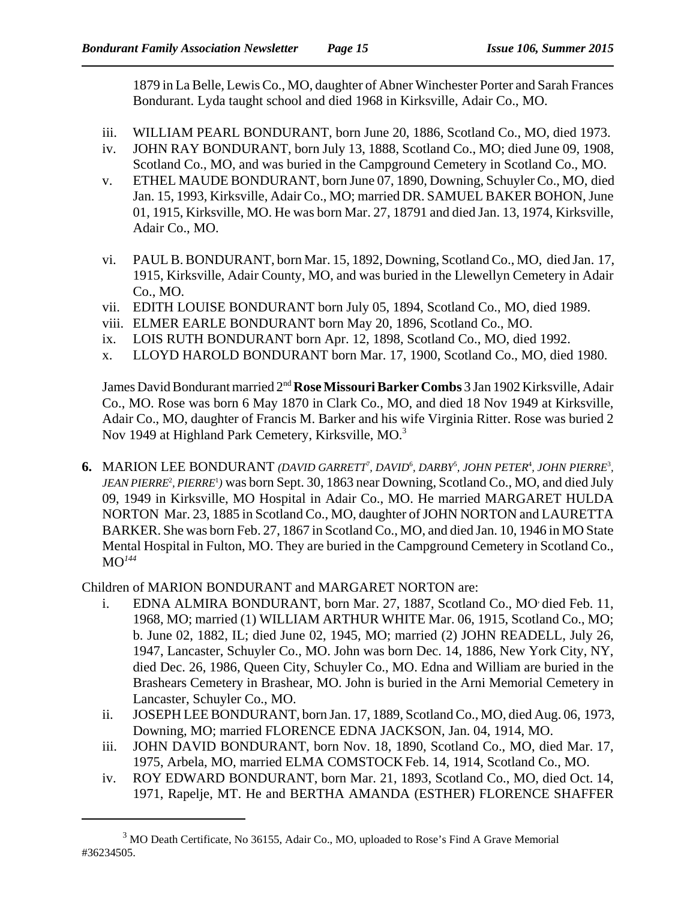1879 in La Belle, Lewis Co., MO, daughter of Abner Winchester Porter and Sarah Frances Bondurant. Lyda taught school and died 1968 in Kirksville, Adair Co., MO.

- iii. WILLIAM PEARL BONDURANT, born June 20, 1886, Scotland Co., MO, died 1973.
- iv. JOHN RAY BONDURANT, born July 13, 1888, Scotland Co., MO; died June 09, 1908, Scotland Co., MO, and was buried in the Campground Cemetery in Scotland Co., MO.
- v. ETHEL MAUDE BONDURANT, born June 07, 1890, Downing, Schuyler Co., MO, died Jan. 15, 1993, Kirksville, Adair Co., MO; married DR. SAMUEL BAKER BOHON, June 01, 1915, Kirksville, MO. He was born Mar. 27, 18791 and died Jan. 13, 1974, Kirksville, Adair Co., MO.
- vi. PAUL B. BONDURANT, born Mar. 15, 1892, Downing, Scotland Co., MO, died Jan. 17, 1915, Kirksville, Adair County, MO, and was buried in the Llewellyn Cemetery in Adair Co., MO.
- vii. EDITH LOUISE BONDURANT born July 05, 1894, Scotland Co., MO, died 1989.
- viii. ELMER EARLE BONDURANT born May 20, 1896, Scotland Co., MO.
- ix. LOIS RUTH BONDURANT born Apr. 12, 1898, Scotland Co., MO, died 1992.
- x. LLOYD HAROLD BONDURANT born Mar. 17, 1900, Scotland Co., MO, died 1980.

James David Bondurant married 2nd **Rose Missouri Barker Combs** 3 Jan 1902 Kirksville, Adair Co., MO. Rose was born 6 May 1870 in Clark Co., MO, and died 18 Nov 1949 at Kirksville, Adair Co., MO, daughter of Francis M. Barker and his wife Virginia Ritter. Rose was buried 2 Nov 1949 at Highland Park Cemetery, Kirksville, MO.<sup>3</sup>

**6.** MARION LEE BONDURANT *(DAVID GARRETT<sup>7</sup>, DAVID<sup>6</sup>, DARBY<sup>5</sup>, JOHN PETER<sup>4</sup>, JOHN PIERRE<sup>3</sup>, JEAN PIERRE<sup>2</sup>*, *PIERRE<sup>1</sup>*) was born Sept. 30, 1863 near Downing, Scotland Co., MO, and died July 09, 1949 in Kirksville, MO Hospital in Adair Co., MO. He married MARGARET HULDA NORTON Mar. 23, 1885 in Scotland Co., MO, daughter of JOHN NORTON and LAURETTA BARKER. She was born Feb. 27, 1867 in Scotland Co., MO, and died Jan. 10, 1946 in MO State Mental Hospital in Fulton, MO. They are buried in the Campground Cemetery in Scotland Co.,  $MO^{144}$ 

Children of MARION BONDURANT and MARGARET NORTON are:

- i. EDNA ALMIRA BONDURANT, born Mar. 27, 1887, Scotland Co., MO*,* died Feb. 11, 1968, MO; married (1) WILLIAM ARTHUR WHITE Mar. 06, 1915, Scotland Co., MO; b. June 02, 1882, IL; died June 02, 1945, MO; married (2) JOHN READELL, July 26, 1947, Lancaster, Schuyler Co., MO. John was born Dec. 14, 1886, New York City, NY, died Dec. 26, 1986, Queen City, Schuyler Co., MO. Edna and William are buried in the Brashears Cemetery in Brashear, MO. John is buried in the Arni Memorial Cemetery in Lancaster, Schuyler Co., MO.
- ii. JOSEPH LEE BONDURANT, born Jan. 17, 1889, Scotland Co., MO, died Aug. 06, 1973, Downing, MO; married FLORENCE EDNA JACKSON, Jan. 04, 1914, MO.
- iii. JOHN DAVID BONDURANT, born Nov. 18, 1890, Scotland Co., MO, died Mar. 17, 1975, Arbela, MO, married ELMA COMSTOCK Feb. 14, 1914, Scotland Co., MO.
- iv. ROY EDWARD BONDURANT, born Mar. 21, 1893, Scotland Co., MO, died Oct. 14, 1971, Rapelje, MT. He and BERTHA AMANDA (ESTHER) FLORENCE SHAFFER

 $3 \text{ MO}$  Death Certificate, No 36155, Adair Co., MO, uploaded to Rose's Find A Grave Memorial #36234505.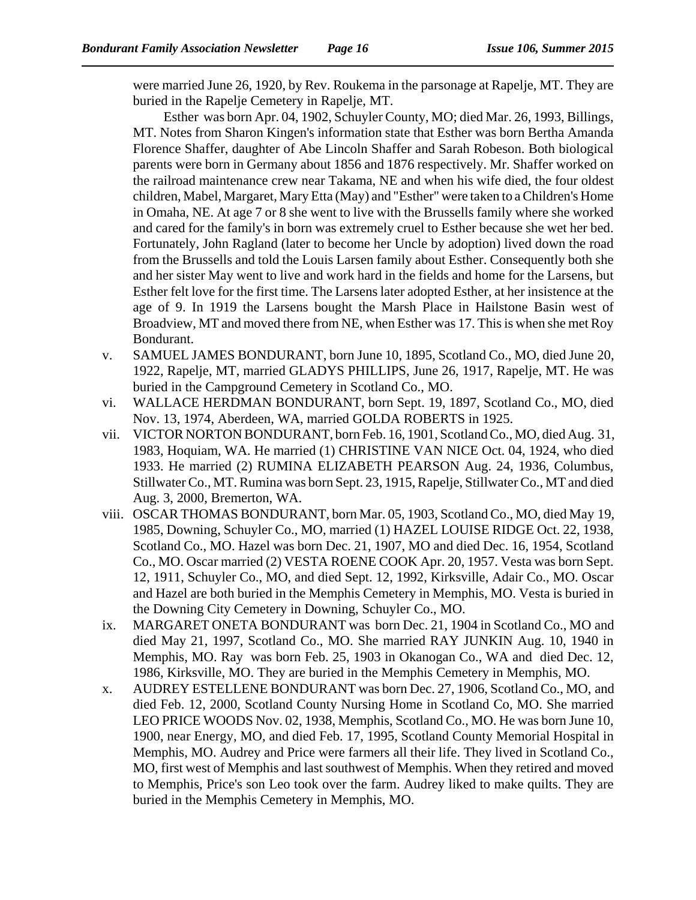were married June 26, 1920, by Rev. Roukema in the parsonage at Rapelje, MT. They are buried in the Rapelje Cemetery in Rapelje, MT.

Esther was born Apr. 04, 1902, Schuyler County, MO; died Mar. 26, 1993, Billings, MT. Notes from Sharon Kingen's information state that Esther was born Bertha Amanda Florence Shaffer, daughter of Abe Lincoln Shaffer and Sarah Robeson. Both biological parents were born in Germany about 1856 and 1876 respectively. Mr. Shaffer worked on the railroad maintenance crew near Takama, NE and when his wife died, the four oldest children, Mabel, Margaret, Mary Etta (May) and "Esther" were taken to a Children's Home in Omaha, NE. At age 7 or 8 she went to live with the Brussells family where she worked and cared for the family's in born was extremely cruel to Esther because she wet her bed. Fortunately, John Ragland (later to become her Uncle by adoption) lived down the road from the Brussells and told the Louis Larsen family about Esther. Consequently both she and her sister May went to live and work hard in the fields and home for the Larsens, but Esther felt love for the first time. The Larsens later adopted Esther, at her insistence at the age of 9. In 1919 the Larsens bought the Marsh Place in Hailstone Basin west of Broadview, MT and moved there from NE, when Esther was 17. This is when she met Roy Bondurant.

- v. SAMUEL JAMES BONDURANT, born June 10, 1895, Scotland Co., MO, died June 20, 1922, Rapelje, MT, married GLADYS PHILLIPS, June 26, 1917, Rapelje, MT. He was buried in the Campground Cemetery in Scotland Co., MO.
- vi. WALLACE HERDMAN BONDURANT, born Sept. 19, 1897, Scotland Co., MO, died Nov. 13, 1974, Aberdeen, WA, married GOLDA ROBERTS in 1925.
- vii. VICTOR NORTON BONDURANT, born Feb. 16, 1901, Scotland Co., MO, died Aug. 31, 1983, Hoquiam, WA. He married (1) CHRISTINE VAN NICE Oct. 04, 1924, who died 1933. He married (2) RUMINA ELIZABETH PEARSON Aug. 24, 1936, Columbus, Stillwater Co., MT. Rumina was born Sept. 23, 1915, Rapelje, Stillwater Co., MT and died Aug. 3, 2000, Bremerton, WA.
- viii. OSCAR THOMAS BONDURANT, born Mar. 05, 1903, Scotland Co., MO, died May 19, 1985, Downing, Schuyler Co., MO, married (1) HAZEL LOUISE RIDGE Oct. 22, 1938, Scotland Co., MO. Hazel was born Dec. 21, 1907, MO and died Dec. 16, 1954, Scotland Co., MO. Oscar married (2) VESTA ROENE COOK Apr. 20, 1957. Vesta was born Sept. 12, 1911, Schuyler Co., MO, and died Sept. 12, 1992, Kirksville, Adair Co., MO. Oscar and Hazel are both buried in the Memphis Cemetery in Memphis, MO. Vesta is buried in the Downing City Cemetery in Downing, Schuyler Co., MO.
- ix. MARGARET ONETA BONDURANT was born Dec. 21, 1904 in Scotland Co., MO and died May 21, 1997, Scotland Co., MO. She married RAY JUNKIN Aug. 10, 1940 in Memphis, MO. Ray was born Feb. 25, 1903 in Okanogan Co., WA and died Dec. 12, 1986, Kirksville, MO. They are buried in the Memphis Cemetery in Memphis, MO.
- x. AUDREY ESTELLENE BONDURANT was born Dec. 27, 1906, Scotland Co., MO, and died Feb. 12, 2000, Scotland County Nursing Home in Scotland Co, MO. She married LEO PRICE WOODS Nov. 02, 1938, Memphis, Scotland Co., MO. He was born June 10, 1900, near Energy, MO, and died Feb. 17, 1995, Scotland County Memorial Hospital in Memphis, MO. Audrey and Price were farmers all their life. They lived in Scotland Co., MO, first west of Memphis and last southwest of Memphis. When they retired and moved to Memphis, Price's son Leo took over the farm. Audrey liked to make quilts. They are buried in the Memphis Cemetery in Memphis, MO.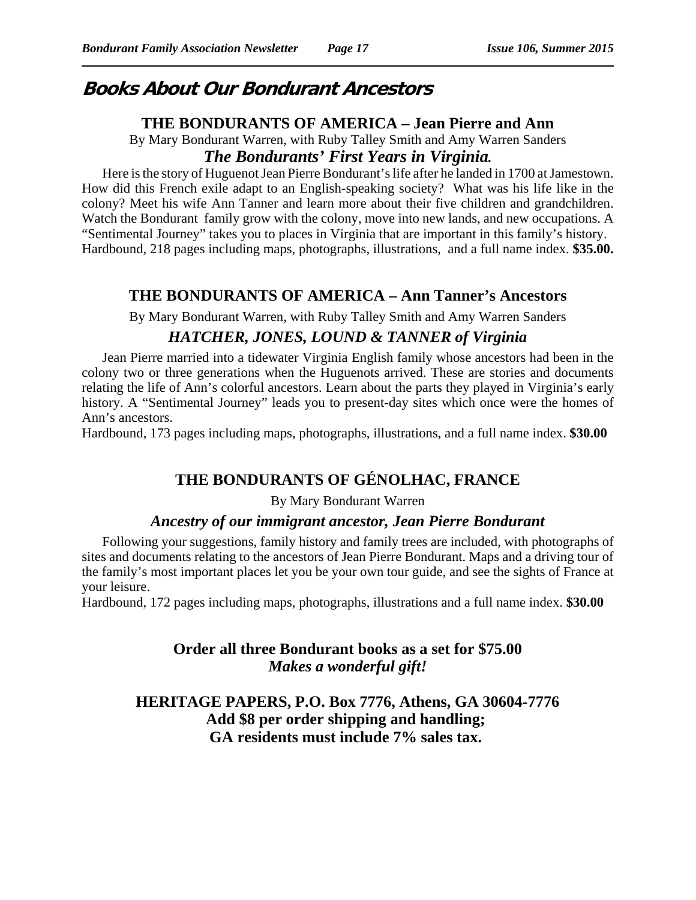# **Books About Our Bondurant Ancestors**

## **THE BONDURANTS OF AMERICA – Jean Pierre and Ann**

By Mary Bondurant Warren, with Ruby Talley Smith and Amy Warren Sanders *The Bondurants' First Years in Virginia.*

Here is the story of Huguenot Jean Pierre Bondurant's life after he landed in 1700 at Jamestown. How did this French exile adapt to an English-speaking society? What was his life like in the colony? Meet his wife Ann Tanner and learn more about their five children and grandchildren. Watch the Bondurant family grow with the colony, move into new lands, and new occupations. A "Sentimental Journey" takes you to places in Virginia that are important in this family's history. Hardbound, 218 pages including maps, photographs, illustrations, and a full name index. **\$35.00.** 

# **THE BONDURANTS OF AMERICA – Ann Tanner's Ancestors**

By Mary Bondurant Warren, with Ruby Talley Smith and Amy Warren Sanders

# *HATCHER, JONES, LOUND & TANNER of Virginia*

Jean Pierre married into a tidewater Virginia English family whose ancestors had been in the colony two or three generations when the Huguenots arrived. These are stories and documents relating the life of Ann's colorful ancestors. Learn about the parts they played in Virginia's early history. A "Sentimental Journey" leads you to present-day sites which once were the homes of Ann's ancestors.

Hardbound, 173 pages including maps, photographs, illustrations, and a full name index. **\$30.00**

# **THE BONDURANTS OF GÉNOLHAC, FRANCE**

## By Mary Bondurant Warren

## *Ancestry of our immigrant ancestor, Jean Pierre Bondurant*

Following your suggestions, family history and family trees are included, with photographs of sites and documents relating to the ancestors of Jean Pierre Bondurant. Maps and a driving tour of the family's most important places let you be your own tour guide, and see the sights of France at your leisure.

Hardbound, 172 pages including maps, photographs, illustrations and a full name index. **\$30.00**

# **Order all three Bondurant books as a set for \$75.00** *Makes a wonderful gift!*

# **HERITAGE PAPERS, P.O. Box 7776, Athens, GA 30604-7776 Add \$8 per order shipping and handling; GA residents must include 7% sales tax.**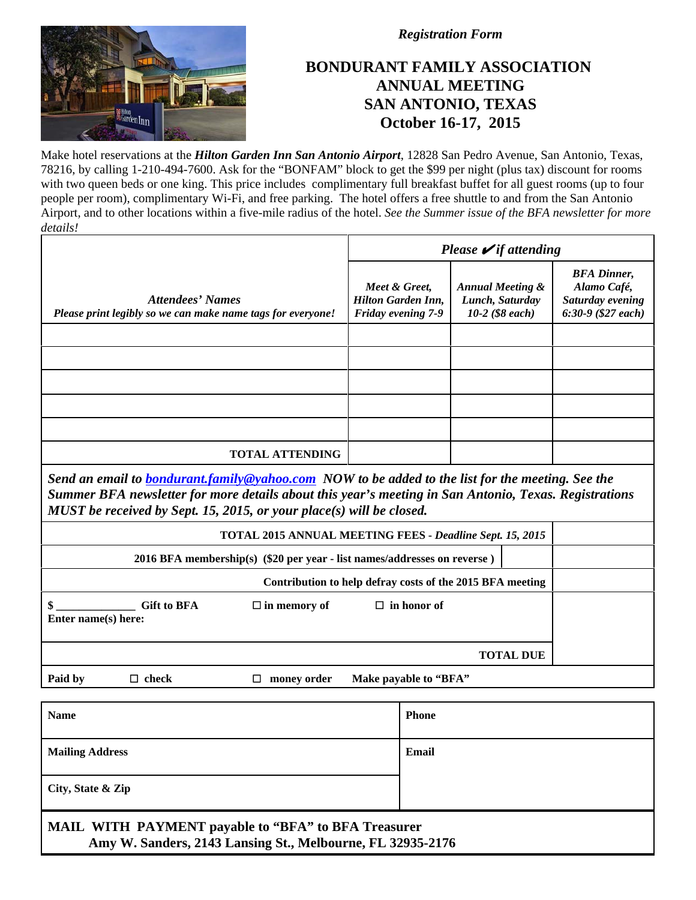

*Registration Form*

# **BONDURANT FAMILY ASSOCIATION ANNUAL MEETING SAN ANTONIO, TEXAS October 16-17, 2015**

Make hotel reservations at the *Hilton Garden Inn San Antonio Airport*, 12828 San Pedro Avenue, San Antonio, Texas, 78216, by calling 1-210-494-7600. Ask for the "BONFAM" block to get the \$99 per night (plus tax) discount for rooms with two queen beds or one king. This price includes complimentary full breakfast buffet for all guest rooms (up to four people per room), complimentary Wi-Fi, and free parking. The hotel offers a free shuttle to and from the San Antonio Airport, and to other locations within a five-mile radius of the hotel. *See the Summer issue of the BFA newsletter for more details!*

|                                                                                                                                                                                                                                                                                           | Please $\blacktriangleright$ if attending                        |                                                                   |                                                                               |  |
|-------------------------------------------------------------------------------------------------------------------------------------------------------------------------------------------------------------------------------------------------------------------------------------------|------------------------------------------------------------------|-------------------------------------------------------------------|-------------------------------------------------------------------------------|--|
| <b>Attendees' Names</b><br>Please print legibly so we can make name tags for everyone!                                                                                                                                                                                                    | Meet & Greet,<br><b>Hilton Garden Inn,</b><br>Friday evening 7-9 | <b>Annual Meeting &amp;</b><br>Lunch, Saturday<br>10-2 (\$8 each) | <b>BFA</b> Dinner,<br>Alamo Café,<br>Saturday evening<br>$6:30-9$ (\$27 each) |  |
|                                                                                                                                                                                                                                                                                           |                                                                  |                                                                   |                                                                               |  |
|                                                                                                                                                                                                                                                                                           |                                                                  |                                                                   |                                                                               |  |
|                                                                                                                                                                                                                                                                                           |                                                                  |                                                                   |                                                                               |  |
|                                                                                                                                                                                                                                                                                           |                                                                  |                                                                   |                                                                               |  |
|                                                                                                                                                                                                                                                                                           |                                                                  |                                                                   |                                                                               |  |
| <b>TOTAL ATTENDING</b>                                                                                                                                                                                                                                                                    |                                                                  |                                                                   |                                                                               |  |
| Send an email to <b>bondurant, family@yahoo.com</b> NOW to be added to the list for the meeting. See the<br>Summer BFA newsletter for more details about this year's meeting in San Antonio, Texas. Registrations<br>MUST be received by Sept. 15, 2015, or your place(s) will be closed. |                                                                  |                                                                   |                                                                               |  |
| <b>TOTAL 2015 ANNUAL MEETING FEES - Deadline Sept. 15, 2015</b>                                                                                                                                                                                                                           |                                                                  |                                                                   |                                                                               |  |
| 2016 BFA membership(s) (\$20 per year - list names/addresses on reverse)                                                                                                                                                                                                                  |                                                                  |                                                                   |                                                                               |  |
| Contribution to help defray costs of the 2015 BFA meeting                                                                                                                                                                                                                                 |                                                                  |                                                                   |                                                                               |  |
| <b>Gift to BFA</b><br>$\Box$ in memory of<br>Enter name(s) here:                                                                                                                                                                                                                          | $\Box$ in honor of                                               |                                                                   |                                                                               |  |
|                                                                                                                                                                                                                                                                                           |                                                                  | <b>TOTAL DUE</b>                                                  |                                                                               |  |
| Paid by<br>$\Box$ check<br>$\Box$ money order                                                                                                                                                                                                                                             | Make payable to "BFA"                                            |                                                                   |                                                                               |  |

| <b>Name</b>                                                                                                              | <b>Phone</b> |
|--------------------------------------------------------------------------------------------------------------------------|--------------|
| <b>Mailing Address</b>                                                                                                   | Email        |
| City, State & Zip                                                                                                        |              |
| <b>MAIL WITH PAYMENT payable to "BFA" to BFA Treasurer</b><br>Amy W. Sanders, 2143 Lansing St., Melbourne, FL 32935-2176 |              |